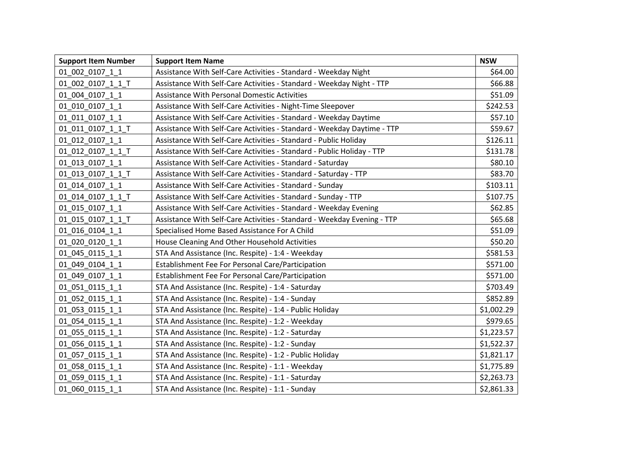| <b>Support Item Number</b> | <b>Support Item Name</b>                                                | <b>NSW</b> |
|----------------------------|-------------------------------------------------------------------------|------------|
| 01_002_0107_1_1            | Assistance With Self-Care Activities - Standard - Weekday Night         | \$64.00    |
| 01 002 0107 1 1 T          | Assistance With Self-Care Activities - Standard - Weekday Night - TTP   | \$66.88    |
| 01 004 0107 1 1            | <b>Assistance With Personal Domestic Activities</b>                     | \$51.09    |
| 01 010 0107 1 1            | Assistance With Self-Care Activities - Night-Time Sleepover             | \$242.53   |
| 01_011_0107_1_1            | Assistance With Self-Care Activities - Standard - Weekday Daytime       | \$57.10    |
| 01 011 0107 1 1 T          | Assistance With Self-Care Activities - Standard - Weekday Daytime - TTP | \$59.67    |
| 01 012 0107 1 1            | Assistance With Self-Care Activities - Standard - Public Holiday        | \$126.11   |
| 01 012 0107 1 1 T          | Assistance With Self-Care Activities - Standard - Public Holiday - TTP  | \$131.78   |
| 01 013 0107 1 1            | Assistance With Self-Care Activities - Standard - Saturday              | \$80.10    |
| 01_013_0107_1_1_T          | Assistance With Self-Care Activities - Standard - Saturday - TTP        | \$83.70    |
| 01_014_0107_1_1            | Assistance With Self-Care Activities - Standard - Sunday                | \$103.11   |
| 01 014 0107 1 1 T          | Assistance With Self-Care Activities - Standard - Sunday - TTP          | \$107.75   |
| 01_015_0107_1_1            | Assistance With Self-Care Activities - Standard - Weekday Evening       | \$62.85    |
| 01_015_0107_1_1_T          | Assistance With Self-Care Activities - Standard - Weekday Evening - TTP | \$65.68    |
| 01 016 0104 1 1            | Specialised Home Based Assistance For A Child                           | \$51.09    |
| 01 020 0120 1 1            | House Cleaning And Other Household Activities                           | \$50.20    |
| 01 045 0115 1 1            | STA And Assistance (Inc. Respite) - 1:4 - Weekday                       | \$581.53   |
| 01 049 0104 1 1            | Establishment Fee For Personal Care/Participation                       | \$571.00   |
| 01_049_0107_1_1            | Establishment Fee For Personal Care/Participation                       | \$571.00   |
| 01 051 0115 1 1            | STA And Assistance (Inc. Respite) - 1:4 - Saturday                      | \$703.49   |
| 01_052_0115_1_1            | STA And Assistance (Inc. Respite) - 1:4 - Sunday                        | \$852.89   |
| 01 053 0115 1 1            | STA And Assistance (Inc. Respite) - 1:4 - Public Holiday                | \$1,002.29 |
| 01_054_0115_1_1            | STA And Assistance (Inc. Respite) - 1:2 - Weekday                       | \$979.65   |
| 01 055 0115 1 1            | STA And Assistance (Inc. Respite) - 1:2 - Saturday                      | \$1,223.57 |
| 01_056_0115_1_1            | STA And Assistance (Inc. Respite) - 1:2 - Sunday                        | \$1,522.37 |
| 01_057_0115_1_1            | STA And Assistance (Inc. Respite) - 1:2 - Public Holiday                | \$1,821.17 |
| 01_058_0115_1_1            | STA And Assistance (Inc. Respite) - 1:1 - Weekday                       | \$1,775.89 |
| 01 059 0115 1 1            | STA And Assistance (Inc. Respite) - 1:1 - Saturday                      | \$2,263.73 |
| 01 060 0115 1 1            | STA And Assistance (Inc. Respite) - 1:1 - Sunday                        | \$2,861.33 |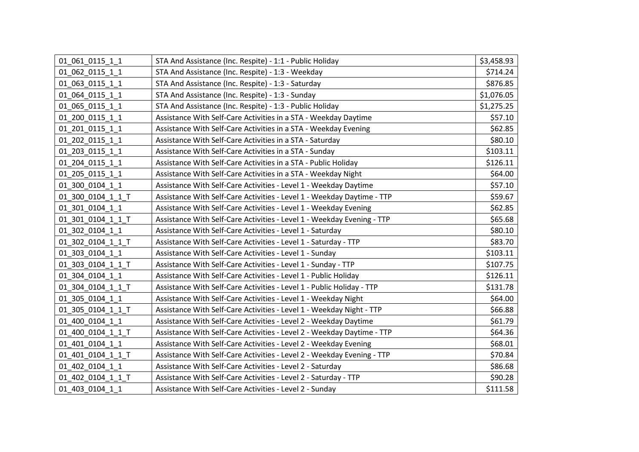| 01 061 0115 1 1   | STA And Assistance (Inc. Respite) - 1:1 - Public Holiday               | \$3,458.93 |
|-------------------|------------------------------------------------------------------------|------------|
| 01_062_0115_1_1   | STA And Assistance (Inc. Respite) - 1:3 - Weekday                      | \$714.24   |
| 01 063 0115 1 1   | STA And Assistance (Inc. Respite) - 1:3 - Saturday                     | \$876.85   |
| 01 064 0115 1 1   | STA And Assistance (Inc. Respite) - 1:3 - Sunday                       | \$1,076.05 |
| 01 065 0115 1 1   | STA And Assistance (Inc. Respite) - 1:3 - Public Holiday               | \$1,275.25 |
| 01_200_0115_1_1   | Assistance With Self-Care Activities in a STA - Weekday Daytime        | \$57.10    |
| 01 201 0115 1 1   | Assistance With Self-Care Activities in a STA - Weekday Evening        | \$62.85    |
| 01 202 0115 1 1   | Assistance With Self-Care Activities in a STA - Saturday               | \$80.10    |
| 01 203 0115 1 1   | Assistance With Self-Care Activities in a STA - Sunday                 | \$103.11   |
| 01 204 0115 1 1   | Assistance With Self-Care Activities in a STA - Public Holiday         | \$126.11   |
| 01 205 0115 1 1   | Assistance With Self-Care Activities in a STA - Weekday Night          | \$64.00    |
| 01 300 0104 1 1   | Assistance With Self-Care Activities - Level 1 - Weekday Daytime       | \$57.10    |
| 01 300 0104 1 1 T | Assistance With Self-Care Activities - Level 1 - Weekday Daytime - TTP | \$59.67    |
| 01_301_0104_1_1   | Assistance With Self-Care Activities - Level 1 - Weekday Evening       | \$62.85    |
| 01 301 0104 1 1 T | Assistance With Self-Care Activities - Level 1 - Weekday Evening - TTP | \$65.68    |
| 01 302 0104 1 1   | Assistance With Self-Care Activities - Level 1 - Saturday              | \$80.10    |
| 01 302 0104 1 1 T | Assistance With Self-Care Activities - Level 1 - Saturday - TTP        | \$83.70    |
| 01 303 0104 1 1   | Assistance With Self-Care Activities - Level 1 - Sunday                | \$103.11   |
| 01 303 0104 1 1 T | Assistance With Self-Care Activities - Level 1 - Sunday - TTP          | \$107.75   |
| 01 304 0104 1 1   | Assistance With Self-Care Activities - Level 1 - Public Holiday        | \$126.11   |
| 01 304 0104 1 1 T | Assistance With Self-Care Activities - Level 1 - Public Holiday - TTP  | \$131.78   |
| 01 305 0104 1 1   | Assistance With Self-Care Activities - Level 1 - Weekday Night         | \$64.00    |
| 01_305_0104_1_1_T | Assistance With Self-Care Activities - Level 1 - Weekday Night - TTP   | \$66.88    |
| 01 400 0104 1 1   | Assistance With Self-Care Activities - Level 2 - Weekday Daytime       | \$61.79    |
| 01 400 0104 1 1 T | Assistance With Self-Care Activities - Level 2 - Weekday Daytime - TTP | \$64.36    |
| 01_401_0104_1_1   | Assistance With Self-Care Activities - Level 2 - Weekday Evening       | \$68.01    |
| 01_401_0104_1_1_T | Assistance With Self-Care Activities - Level 2 - Weekday Evening - TTP | \$70.84    |
| 01 402 0104 1 1   | Assistance With Self-Care Activities - Level 2 - Saturday              | \$86.68    |
| 01 402 0104 1 1 T | Assistance With Self-Care Activities - Level 2 - Saturday - TTP        | \$90.28    |
| 01 403 0104 1 1   | Assistance With Self-Care Activities - Level 2 - Sunday                | \$111.58   |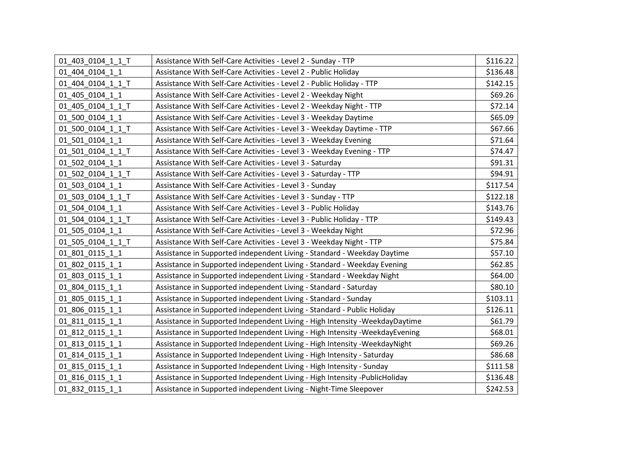| 01 403 0104 1 1 T | Assistance With Self-Care Activities - Level 2 - Sunday - TTP                 | \$116.22 |
|-------------------|-------------------------------------------------------------------------------|----------|
| 01 404 0104 1 1   | Assistance With Self-Care Activities - Level 2 - Public Holiday               | \$136.48 |
| 01 404 0104 1 1 T | Assistance With Self-Care Activities - Level 2 - Public Holiday - TTP         | \$142.15 |
| 01 405 0104 1 1   | Assistance With Self-Care Activities - Level 2 - Weekday Night                | \$69.26  |
| 01 405 0104 1 1 T | Assistance With Self-Care Activities - Level 2 - Weekday Night - TTP          | \$72.14  |
| 01 500 0104 1 1   | Assistance With Self-Care Activities - Level 3 - Weekday Daytime              | \$65.09  |
| 01 500 0104 1 1 T | Assistance With Self-Care Activities - Level 3 - Weekday Daytime - TTP        | \$67.66  |
| 01 501 0104 1 1   | Assistance With Self-Care Activities - Level 3 - Weekday Evening              | \$71.64  |
| 01 501 0104 1 1 T | Assistance With Self-Care Activities - Level 3 - Weekday Evening - TTP        | \$74.47  |
| 01 502 0104 1 1   | Assistance With Self-Care Activities - Level 3 - Saturday                     | \$91.31  |
| 01 502 0104 1 1 T | Assistance With Self-Care Activities - Level 3 - Saturday - TTP               | \$94.91  |
| 01_503_0104_1_1   | Assistance With Self-Care Activities - Level 3 - Sunday                       | \$117.54 |
| 01 503 0104 1 1 T | Assistance With Self-Care Activities - Level 3 - Sunday - TTP                 | \$122.18 |
| 01_504_0104_1_1   | Assistance With Self-Care Activities - Level 3 - Public Holiday               | \$143.76 |
| 01 504 0104 1 1 T | Assistance With Self-Care Activities - Level 3 - Public Holiday - TTP         | \$149.43 |
| 01 505 0104 1 1   | Assistance With Self-Care Activities - Level 3 - Weekday Night                | \$72.96  |
| 01_505_0104_1_1_T | Assistance With Self-Care Activities - Level 3 - Weekday Night - TTP          | \$75.84  |
| 01_801_0115_1_1   | Assistance in Supported independent Living - Standard - Weekday Daytime       | \$57.10  |
| 01_802_0115_1_1   | Assistance in Supported independent Living - Standard - Weekday Evening       | \$62.85  |
| 01 803 0115 1 1   | Assistance in Supported independent Living - Standard - Weekday Night         | \$64.00  |
| 01 804 0115 1 1   | Assistance in Supported independent Living - Standard - Saturday              | \$80.10  |
| 01_805_0115_1_1   | Assistance in Supported independent Living - Standard - Sunday                | \$103.11 |
| 01 806 0115 1 1   | Assistance in Supported independent Living - Standard - Public Holiday        | \$126.11 |
| 01 811 0115 1 1   | Assistance in Supported Independent Living - High Intensity - Weekday Daytime | \$61.79  |
| 01 812 0115 1 1   | Assistance in Supported Independent Living - High Intensity -WeekdayEvening   | \$68.01  |
| 01_813_0115_1_1   | Assistance in Supported Independent Living - High Intensity - Weekday Night   | \$69.26  |
| 01 814 0115 1 1   | Assistance in Supported Independent Living - High Intensity - Saturday        | \$86.68  |
| 01_815_0115_1_1   | Assistance in Supported Independent Living - High Intensity - Sunday          | \$111.58 |
| 01_816_0115_1_1   | Assistance in Supported Independent Living - High Intensity -PublicHoliday    | \$136.48 |
| 01 832 0115 1 1   | Assistance in Supported independent Living - Night-Time Sleepover             | \$242.53 |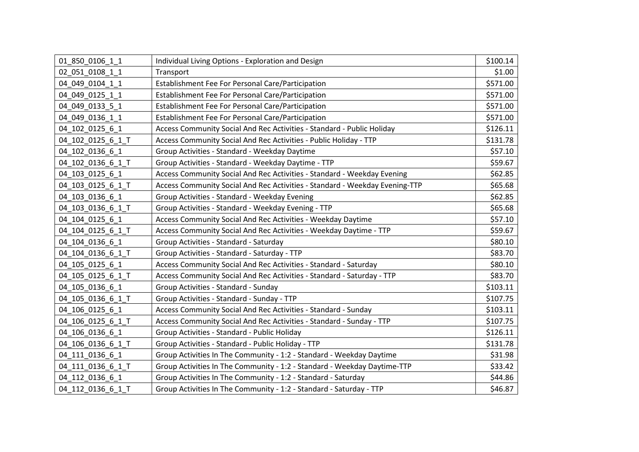| 01 850 0106 1 1   | Individual Living Options - Exploration and Design                          | \$100.14 |
|-------------------|-----------------------------------------------------------------------------|----------|
| 02_051_0108_1_1   | Transport                                                                   | \$1.00   |
| 04 049 0104 1 1   | Establishment Fee For Personal Care/Participation                           | \$571.00 |
| 04 049 0125 1 1   | Establishment Fee For Personal Care/Participation                           | \$571.00 |
| 04 049 0133 5 1   | Establishment Fee For Personal Care/Participation                           | \$571.00 |
| 04 049 0136 1 1   | Establishment Fee For Personal Care/Participation                           | \$571.00 |
| 04_102_0125_6_1   | Access Community Social And Rec Activities - Standard - Public Holiday      | \$126.11 |
| 04 102 0125 6 1 T | Access Community Social And Rec Activities - Public Holiday - TTP           | \$131.78 |
| 04_102_0136_6_1   | Group Activities - Standard - Weekday Daytime                               | \$57.10  |
| 04_102_0136_6_1_T | Group Activities - Standard - Weekday Daytime - TTP                         | \$59.67  |
| 04_103_0125_6_1   | Access Community Social And Rec Activities - Standard - Weekday Evening     | \$62.85  |
| 04_103_0125_6_1_T | Access Community Social And Rec Activities - Standard - Weekday Evening-TTP | \$65.68  |
| 04_103_0136_6_1   | Group Activities - Standard - Weekday Evening                               | \$62.85  |
| 04_103_0136_6_1_T | Group Activities - Standard - Weekday Evening - TTP                         | \$65.68  |
| 04 104 0125 6 1   | Access Community Social And Rec Activities - Weekday Daytime                | \$57.10  |
| 04_104_0125_6_1_T | Access Community Social And Rec Activities - Weekday Daytime - TTP          | \$59.67  |
| 04 104 0136 6 1   | Group Activities - Standard - Saturday                                      | \$80.10  |
| 04_104_0136_6_1_T | Group Activities - Standard - Saturday - TTP                                | \$83.70  |
| 04 105 0125 6 1   | Access Community Social And Rec Activities - Standard - Saturday            | \$80.10  |
| 04 105 0125 6 1 T | Access Community Social And Rec Activities - Standard - Saturday - TTP      | \$83.70  |
| 04 105 0136 6 1   | Group Activities - Standard - Sunday                                        | \$103.11 |
| 04_105_0136_6_1_T | Group Activities - Standard - Sunday - TTP                                  | \$107.75 |
| 04_106_0125_6_1   | Access Community Social And Rec Activities - Standard - Sunday              | \$103.11 |
| 04_106_0125_6_1_T | Access Community Social And Rec Activities - Standard - Sunday - TTP        | \$107.75 |
| 04_106_0136_6_1   | Group Activities - Standard - Public Holiday                                | \$126.11 |
| 04 106 0136 6 1 T | Group Activities - Standard - Public Holiday - TTP                          | \$131.78 |
| 04_111_0136_6_1   | Group Activities In The Community - 1:2 - Standard - Weekday Daytime        | \$31.98  |
| 04_111_0136_6_1_T | Group Activities In The Community - 1:2 - Standard - Weekday Daytime-TTP    | \$33.42  |
| 04 112 0136 6 1   | Group Activities In The Community - 1:2 - Standard - Saturday               | \$44.86  |
| 04 112 0136 6 1 T | Group Activities In The Community - 1:2 - Standard - Saturday - TTP         | \$46.87  |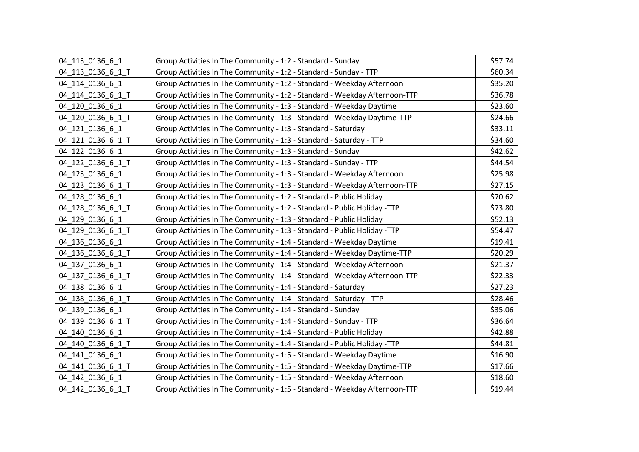| 04 113 0136 6 1   | Group Activities In The Community - 1:2 - Standard - Sunday                | \$57.74 |
|-------------------|----------------------------------------------------------------------------|---------|
| 04 113 0136 6 1 T | Group Activities In The Community - 1:2 - Standard - Sunday - TTP          | \$60.34 |
| 04 114 0136 6 1   | Group Activities In The Community - 1:2 - Standard - Weekday Afternoon     | \$35.20 |
| 04_114_0136_6_1_T | Group Activities In The Community - 1:2 - Standard - Weekday Afternoon-TTP | \$36.78 |
| 04 120 0136 6 1   | Group Activities In The Community - 1:3 - Standard - Weekday Daytime       | \$23.60 |
| 04_120_0136_6_1_T | Group Activities In The Community - 1:3 - Standard - Weekday Daytime-TTP   | \$24.66 |
| 04 121 0136 6 1   | Group Activities In The Community - 1:3 - Standard - Saturday              | \$33.11 |
| 04 121 0136 6 1 T | Group Activities In The Community - 1:3 - Standard - Saturday - TTP        | \$34.60 |
| 04 122 0136 6 1   | Group Activities In The Community - 1:3 - Standard - Sunday                | \$42.62 |
| 04 122 0136 6 1 T | Group Activities In The Community - 1:3 - Standard - Sunday - TTP          | \$44.54 |
| 04_123_0136_6_1   | Group Activities In The Community - 1:3 - Standard - Weekday Afternoon     | \$25.98 |
| 04_123_0136_6_1_T | Group Activities In The Community - 1:3 - Standard - Weekday Afternoon-TTP | \$27.15 |
| 04 128 0136 6 1   | Group Activities In The Community - 1:2 - Standard - Public Holiday        | \$70.62 |
| 04_128_0136_6_1_T | Group Activities In The Community - 1:2 - Standard - Public Holiday -TTP   | \$73.80 |
| 04_129_0136_6_1   | Group Activities In The Community - 1:3 - Standard - Public Holiday        | \$52.13 |
| 04_129_0136_6_1_T | Group Activities In The Community - 1:3 - Standard - Public Holiday -TTP   | \$54.47 |
| 04_136_0136_6_1   | Group Activities In The Community - 1:4 - Standard - Weekday Daytime       | \$19.41 |
| 04_136_0136_6_1_T | Group Activities In The Community - 1:4 - Standard - Weekday Daytime-TTP   | \$20.29 |
| 04_137_0136_6_1   | Group Activities In The Community - 1:4 - Standard - Weekday Afternoon     | \$21.37 |
| 04_137_0136_6_1_T | Group Activities In The Community - 1:4 - Standard - Weekday Afternoon-TTP | \$22.33 |
| 04 138 0136 6 1   | Group Activities In The Community - 1:4 - Standard - Saturday              | \$27.23 |
| 04_138_0136_6_1_T | Group Activities In The Community - 1:4 - Standard - Saturday - TTP        | \$28.46 |
| 04 139 0136 6 1   | Group Activities In The Community - 1:4 - Standard - Sunday                | \$35.06 |
| 04_139_0136_6_1_T | Group Activities In The Community - 1:4 - Standard - Sunday - TTP          | \$36.64 |
| 04 140 0136 6 1   | Group Activities In The Community - 1:4 - Standard - Public Holiday        | \$42.88 |
| 04_140_0136_6_1_T | Group Activities In The Community - 1:4 - Standard - Public Holiday -TTP   | \$44.81 |
| 04_141_0136_6_1   | Group Activities In The Community - 1:5 - Standard - Weekday Daytime       | \$16.90 |
| 04_141_0136_6_1_T | Group Activities In The Community - 1:5 - Standard - Weekday Daytime-TTP   | \$17.66 |
| 04 142 0136 6 1   | Group Activities In The Community - 1:5 - Standard - Weekday Afternoon     | \$18.60 |
| 04 142 0136 6 1 T | Group Activities In The Community - 1:5 - Standard - Weekday Afternoon-TTP | \$19.44 |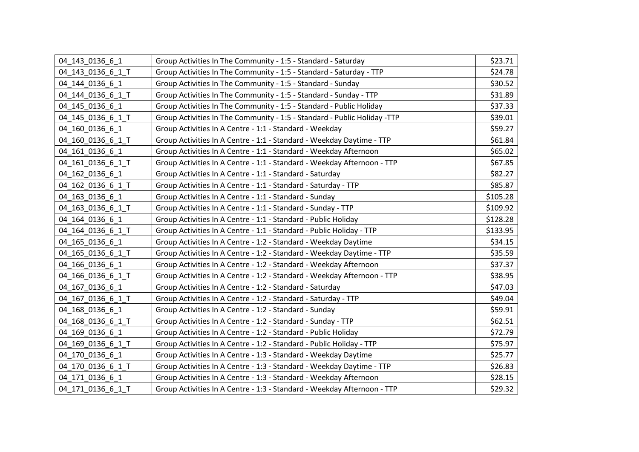| 04 143 0136 6 1   | Group Activities In The Community - 1:5 - Standard - Saturday            | \$23.71  |
|-------------------|--------------------------------------------------------------------------|----------|
| 04_143_0136_6_1_T | Group Activities In The Community - 1:5 - Standard - Saturday - TTP      | \$24.78  |
| 04 144 0136 6 1   | Group Activities In The Community - 1:5 - Standard - Sunday              | \$30.52  |
| 04 144 0136 6 1 T | Group Activities In The Community - 1:5 - Standard - Sunday - TTP        | \$31.89  |
| 04 145 0136 6 1   | Group Activities In The Community - 1:5 - Standard - Public Holiday      | \$37.33  |
| 04_145_0136_6_1_T | Group Activities In The Community - 1:5 - Standard - Public Holiday -TTP | \$39.01  |
| 04 160 0136 6 1   | Group Activities In A Centre - 1:1 - Standard - Weekday                  | \$59.27  |
| 04 160 0136 6 1 T | Group Activities In A Centre - 1:1 - Standard - Weekday Daytime - TTP    | \$61.84  |
| 04 161 0136 6 1   | Group Activities In A Centre - 1:1 - Standard - Weekday Afternoon        | \$65.02  |
| 04 161 0136 6 1 T | Group Activities In A Centre - 1:1 - Standard - Weekday Afternoon - TTP  | \$67.85  |
| 04 162 0136 6 1   | Group Activities In A Centre - 1:1 - Standard - Saturday                 | \$82.27  |
| 04 162 0136 6 1 T | Group Activities In A Centre - 1:1 - Standard - Saturday - TTP           | \$85.87  |
| 04 163 0136 6 1   | Group Activities In A Centre - 1:1 - Standard - Sunday                   | \$105.28 |
| 04_163_0136_6_1_T | Group Activities In A Centre - 1:1 - Standard - Sunday - TTP             | \$109.92 |
| 04 164 0136 6 1   | Group Activities In A Centre - 1:1 - Standard - Public Holiday           | \$128.28 |
| 04 164 0136 6 1 T | Group Activities In A Centre - 1:1 - Standard - Public Holiday - TTP     | \$133.95 |
| 04 165 0136 6 1   | Group Activities In A Centre - 1:2 - Standard - Weekday Daytime          | \$34.15  |
| 04_165_0136_6_1_T | Group Activities In A Centre - 1:2 - Standard - Weekday Daytime - TTP    | \$35.59  |
| 04 166 0136 6 1   | Group Activities In A Centre - 1:2 - Standard - Weekday Afternoon        | \$37.37  |
| 04_166_0136_6_1_T | Group Activities In A Centre - 1:2 - Standard - Weekday Afternoon - TTP  | \$38.95  |
| 04 167 0136 6 1   | Group Activities In A Centre - 1:2 - Standard - Saturday                 | \$47.03  |
| 04_167_0136_6_1_T | Group Activities In A Centre - 1:2 - Standard - Saturday - TTP           | \$49.04  |
| 04 168 0136 6 1   | Group Activities In A Centre - 1:2 - Standard - Sunday                   | \$59.91  |
| 04_168_0136_6_1_T | Group Activities In A Centre - 1:2 - Standard - Sunday - TTP             | \$62.51  |
| 04 169 0136 6 1   | Group Activities In A Centre - 1:2 - Standard - Public Holiday           | \$72.79  |
| 04_169_0136_6_1_T | Group Activities In A Centre - 1:2 - Standard - Public Holiday - TTP     | \$75.97  |
| 04_170_0136_6_1   | Group Activities In A Centre - 1:3 - Standard - Weekday Daytime          | \$25.77  |
| 04_170_0136_6_1_T | Group Activities In A Centre - 1:3 - Standard - Weekday Daytime - TTP    | \$26.83  |
| 04 171 0136 6 1   | Group Activities In A Centre - 1:3 - Standard - Weekday Afternoon        | \$28.15  |
| 04 171 0136 6 1 T | Group Activities In A Centre - 1:3 - Standard - Weekday Afternoon - TTP  | \$29.32  |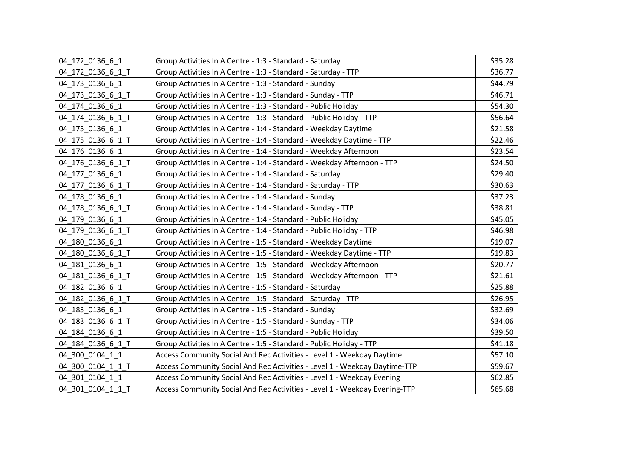| 04 172 0136 6 1   | Group Activities In A Centre - 1:3 - Standard - Saturday                   | \$35.28 |
|-------------------|----------------------------------------------------------------------------|---------|
| 04 172 0136 6 1 T | Group Activities In A Centre - 1:3 - Standard - Saturday - TTP             | \$36.77 |
| 04 173 0136 6 1   | Group Activities In A Centre - 1:3 - Standard - Sunday                     | \$44.79 |
| 04_173_0136_6_1_T | Group Activities In A Centre - 1:3 - Standard - Sunday - TTP               | \$46.71 |
| 04 174 0136 6 1   | Group Activities In A Centre - 1:3 - Standard - Public Holiday             | \$54.30 |
| 04_174_0136_6_1_T | Group Activities In A Centre - 1:3 - Standard - Public Holiday - TTP       | \$56.64 |
| 04 175 0136 6 1   | Group Activities In A Centre - 1:4 - Standard - Weekday Daytime            | \$21.58 |
| 04 175 0136 6 1 T | Group Activities In A Centre - 1:4 - Standard - Weekday Daytime - TTP      | \$22.46 |
| 04 176 0136 6 1   | Group Activities In A Centre - 1:4 - Standard - Weekday Afternoon          | \$23.54 |
| 04_176_0136_6_1_T | Group Activities In A Centre - 1:4 - Standard - Weekday Afternoon - TTP    | \$24.50 |
| 04 177 0136 6 1   | Group Activities In A Centre - 1:4 - Standard - Saturday                   | \$29.40 |
| 04_177_0136_6_1_T | Group Activities In A Centre - 1:4 - Standard - Saturday - TTP             | \$30.63 |
| 04 178 0136 6 1   | Group Activities In A Centre - 1:4 - Standard - Sunday                     | \$37.23 |
| 04_178_0136_6_1_T | Group Activities In A Centre - 1:4 - Standard - Sunday - TTP               | \$38.81 |
| 04_179_0136_6_1   | Group Activities In A Centre - 1:4 - Standard - Public Holiday             | \$45.05 |
| 04 179 0136 6 1 T | Group Activities In A Centre - 1:4 - Standard - Public Holiday - TTP       | \$46.98 |
| 04 180 0136 6 1   | Group Activities In A Centre - 1:5 - Standard - Weekday Daytime            | \$19.07 |
| 04 180 0136 6 1 T | Group Activities In A Centre - 1:5 - Standard - Weekday Daytime - TTP      | \$19.83 |
| 04_181_0136_6_1   | Group Activities In A Centre - 1:5 - Standard - Weekday Afternoon          | \$20.77 |
| 04_181_0136_6_1_T | Group Activities In A Centre - 1:5 - Standard - Weekday Afternoon - TTP    | \$21.61 |
| 04 182 0136 6 1   | Group Activities In A Centre - 1:5 - Standard - Saturday                   | \$25.88 |
| 04 182 0136 6 1 T | Group Activities In A Centre - 1:5 - Standard - Saturday - TTP             | \$26.95 |
| 04 183 0136 6 1   | Group Activities In A Centre - 1:5 - Standard - Sunday                     | \$32.69 |
| 04_183_0136_6_1_T | Group Activities In A Centre - 1:5 - Standard - Sunday - TTP               | \$34.06 |
| 04 184 0136 6 1   | Group Activities In A Centre - 1:5 - Standard - Public Holiday             | \$39.50 |
| 04_184_0136_6_1_T | Group Activities In A Centre - 1:5 - Standard - Public Holiday - TTP       | \$41.18 |
| 04 300 0104 1 1   | Access Community Social And Rec Activities - Level 1 - Weekday Daytime     | \$57.10 |
| 04 300 0104 1 1 T | Access Community Social And Rec Activities - Level 1 - Weekday Daytime-TTP | \$59.67 |
| 04 301 0104 1 1   | Access Community Social And Rec Activities - Level 1 - Weekday Evening     | \$62.85 |
| 04 301 0104 1 1 T | Access Community Social And Rec Activities - Level 1 - Weekday Evening-TTP | \$65.68 |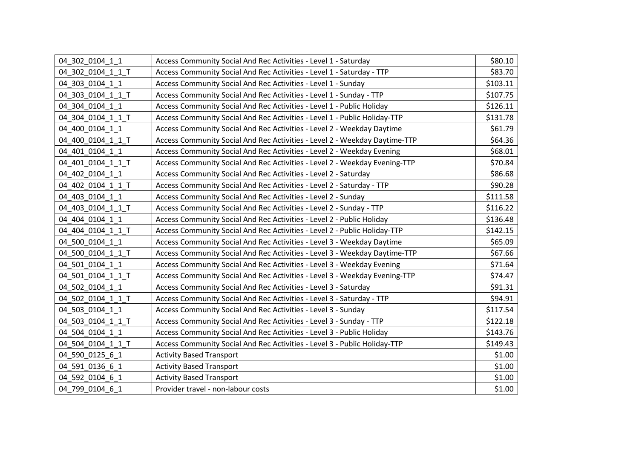| 04 302 0104 1 1   | Access Community Social And Rec Activities - Level 1 - Saturday            | \$80.10  |
|-------------------|----------------------------------------------------------------------------|----------|
| 04_302_0104_1_1_T | Access Community Social And Rec Activities - Level 1 - Saturday - TTP      | \$83.70  |
| 04 303 0104 1 1   | Access Community Social And Rec Activities - Level 1 - Sunday              | \$103.11 |
| 04 303 0104 1 1 T | Access Community Social And Rec Activities - Level 1 - Sunday - TTP        | \$107.75 |
| 04 304 0104 1 1   | Access Community Social And Rec Activities - Level 1 - Public Holiday      | \$126.11 |
| 04 304 0104 1 1 T | Access Community Social And Rec Activities - Level 1 - Public Holiday-TTP  | \$131.78 |
| 04 400 0104 1 1   | Access Community Social And Rec Activities - Level 2 - Weekday Daytime     | \$61.79  |
| 04 400 0104 1 1 T | Access Community Social And Rec Activities - Level 2 - Weekday Daytime-TTP | \$64.36  |
| 04 401 0104 1 1   | Access Community Social And Rec Activities - Level 2 - Weekday Evening     | \$68.01  |
| 04 401 0104 1 1 T | Access Community Social And Rec Activities - Level 2 - Weekday Evening-TTP | \$70.84  |
| 04 402 0104 1 1   | Access Community Social And Rec Activities - Level 2 - Saturday            | \$86.68  |
| 04 402 0104 1 1 T | Access Community Social And Rec Activities - Level 2 - Saturday - TTP      | \$90.28  |
| 04 403 0104 1 1   | Access Community Social And Rec Activities - Level 2 - Sunday              | \$111.58 |
| 04_403_0104_1_1_T | Access Community Social And Rec Activities - Level 2 - Sunday - TTP        | \$116.22 |
| 04 404 0104 1 1   | Access Community Social And Rec Activities - Level 2 - Public Holiday      | \$136.48 |
| 04 404 0104 1 1 T | Access Community Social And Rec Activities - Level 2 - Public Holiday-TTP  | \$142.15 |
| 04 500 0104 1 1   | Access Community Social And Rec Activities - Level 3 - Weekday Daytime     | \$65.09  |
| 04 500 0104 1 1 T | Access Community Social And Rec Activities - Level 3 - Weekday Daytime-TTP | \$67.66  |
| 04 501 0104 1 1   | Access Community Social And Rec Activities - Level 3 - Weekday Evening     | \$71.64  |
| 04 501 0104 1 1 T | Access Community Social And Rec Activities - Level 3 - Weekday Evening-TTP | \$74.47  |
| 04 502 0104 1 1   | Access Community Social And Rec Activities - Level 3 - Saturday            | \$91.31  |
| 04 502 0104 1 1 T | Access Community Social And Rec Activities - Level 3 - Saturday - TTP      | \$94.91  |
| 04 503 0104 1 1   | Access Community Social And Rec Activities - Level 3 - Sunday              | \$117.54 |
| 04_503_0104_1_1_T | Access Community Social And Rec Activities - Level 3 - Sunday - TTP        | \$122.18 |
| 04 504 0104 1 1   | Access Community Social And Rec Activities - Level 3 - Public Holiday      | \$143.76 |
| 04_504_0104_1_1_T | Access Community Social And Rec Activities - Level 3 - Public Holiday-TTP  | \$149.43 |
| 04 590 0125 6 1   | <b>Activity Based Transport</b>                                            | \$1.00   |
| 04_591_0136_6_1   | <b>Activity Based Transport</b>                                            | \$1.00   |
| 04 592 0104 6 1   | <b>Activity Based Transport</b>                                            | \$1.00   |
| 04 799 0104 6 1   | Provider travel - non-labour costs                                         | \$1.00   |